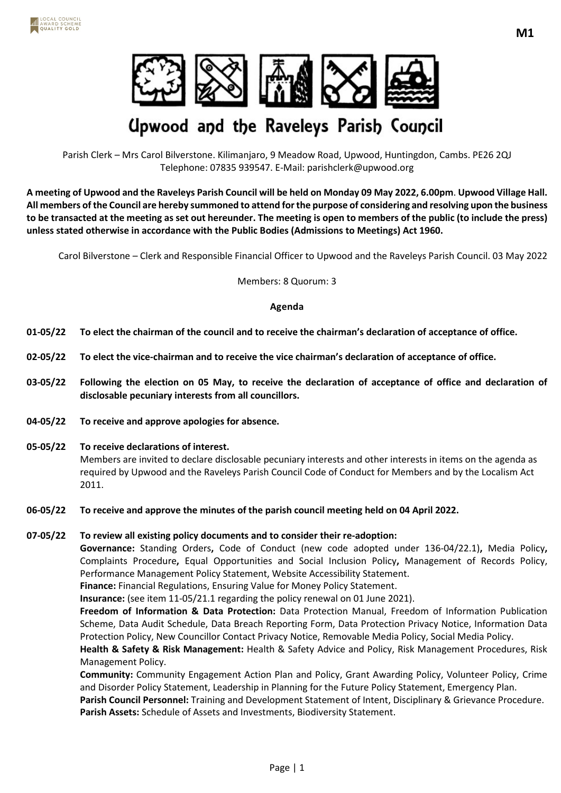

# **Upwood and the Raveleys Parish Council**

Parish Clerk – Mrs Carol Bilverstone. Kilimanjaro, 9 Meadow Road, Upwood, Huntingdon, Cambs. PE26 2QJ Telephone: 07835 939547. E-Mail: parishclerk@upwood.org

**A meeting of Upwood and the Raveleys Parish Council will be held on Monday 09 May 2022, 6.00pm**. **Upwood Village Hall. All members of the Council are hereby summoned to attend for the purpose of considering and resolving upon the business to be transacted at the meeting as set out hereunder. The meeting is open to members of the public (to include the press) unless stated otherwise in accordance with the Public Bodies (Admissions to Meetings) Act 1960.**

Carol Bilverstone – Clerk and Responsible Financial Officer to Upwood and the Raveleys Parish Council. 03 May 2022

Members: 8 Quorum: 3

### **Agenda**

- **01-05/22 To elect the chairman of the council and to receive the chairman's declaration of acceptance of office.**
- **02-05/22 To elect the vice-chairman and to receive the vice chairman's declaration of acceptance of office.**
- **03-05/22 Following the election on 05 May, to receive the declaration of acceptance of office and declaration of disclosable pecuniary interests from all councillors.**
- **04-05/22 To receive and approve apologies for absence.**
- **05-05/22 To receive declarations of interest.** Members are invited to declare disclosable pecuniary interests and other interests in items on the agenda as required by Upwood and the Raveleys Parish Council Code of Conduct for Members and by the Localism Act 2011.
- **06-05/22 To receive and approve the minutes of the parish council meeting held on 04 April 2022.**

## **07-05/22 To review all existing policy documents and to consider their re-adoption:**

**Governance:** Standing Orders**,** Code of Conduct (new code adopted under 136-04/22.1)**,** Media Policy**,**  Complaints Procedure**,** Equal Opportunities and Social Inclusion Policy**,** Management of Records Policy, Performance Management Policy Statement, Website Accessibility Statement.

**Finance:** Financial Regulations, Ensuring Value for Money Policy Statement.

**Insurance:** (see item 11-05/21.1 regarding the policy renewal on 01 June 2021).

**Freedom of Information & Data Protection:** Data Protection Manual, Freedom of Information Publication Scheme, Data Audit Schedule, Data Breach Reporting Form, Data Protection Privacy Notice, Information Data Protection Policy, New Councillor Contact Privacy Notice, Removable Media Policy, Social Media Policy.

**Health & Safety & Risk Management:** Health & Safety Advice and Policy, Risk Management Procedures, Risk Management Policy.

**Community:** Community Engagement Action Plan and Policy, Grant Awarding Policy, Volunteer Policy, Crime and Disorder Policy Statement, Leadership in Planning for the Future Policy Statement, Emergency Plan.

**Parish Council Personnel:** Training and Development Statement of Intent, Disciplinary & Grievance Procedure. **Parish Assets:** Schedule of Assets and Investments, Biodiversity Statement.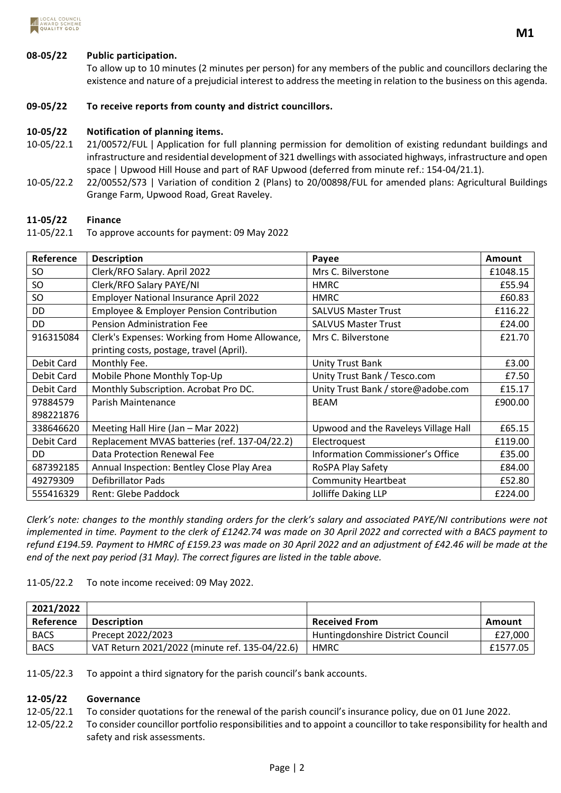

## **08-05/22 Public participation.**

To allow up to 10 minutes (2 minutes per person) for any members of the public and councillors declaring the existence and nature of a prejudicial interest to address the meeting in relation to the business on this agenda.

## **09-05/22 To receive reports from county and district councillors.**

## **10-05/22 Notification of planning items.**

- 10-05/22.1 21/00572/FUL | Application for full planning permission for demolition of existing redundant buildings and infrastructure and residential development of 321 dwellings with associated highways, infrastructure and open space | Upwood Hill House and part of RAF Upwood (deferred from minute ref.: 154-04/21.1).
- 10-05/22.2 22/00552/S73 | Variation of condition 2 (Plans) to 20/00898/FUL for amended plans: Agricultural Buildings Grange Farm, Upwood Road, Great Raveley.

### **11-05/22 Finance**

11-05/22.1 To approve accounts for payment: 09 May 2022

| Reference  | <b>Description</b>                             | Payee                                | Amount   |
|------------|------------------------------------------------|--------------------------------------|----------|
| <b>SO</b>  | Clerk/RFO Salary. April 2022                   | Mrs C. Bilverstone                   | £1048.15 |
| <b>SO</b>  | Clerk/RFO Salary PAYE/NI                       | <b>HMRC</b>                          | £55.94   |
| <b>SO</b>  | <b>Employer National Insurance April 2022</b>  | <b>HMRC</b>                          | £60.83   |
| DD         | Employee & Employer Pension Contribution       | <b>SALVUS Master Trust</b>           | £116.22  |
| <b>DD</b>  | <b>Pension Administration Fee</b>              | <b>SALVUS Master Trust</b>           | £24.00   |
| 916315084  | Clerk's Expenses: Working from Home Allowance, | Mrs C. Bilverstone                   | £21.70   |
|            | printing costs, postage, travel (April).       |                                      |          |
| Debit Card | Monthly Fee.                                   | <b>Unity Trust Bank</b>              | £3.00    |
| Debit Card | Mobile Phone Monthly Top-Up                    | Unity Trust Bank / Tesco.com         | £7.50    |
| Debit Card | Monthly Subscription. Acrobat Pro DC.          | Unity Trust Bank / store@adobe.com   | £15.17   |
| 97884579   | Parish Maintenance                             | <b>BEAM</b>                          | £900.00  |
| 898221876  |                                                |                                      |          |
| 338646620  | Meeting Hall Hire (Jan - Mar 2022)             | Upwood and the Raveleys Village Hall | £65.15   |
| Debit Card | Replacement MVAS batteries (ref. 137-04/22.2)  | Electroquest                         | £119.00  |
| DD.        | Data Protection Renewal Fee                    | Information Commissioner's Office    | £35.00   |
| 687392185  | Annual Inspection: Bentley Close Play Area     | RoSPA Play Safety                    | £84.00   |
| 49279309   | <b>Defibrillator Pads</b>                      | <b>Community Heartbeat</b>           | £52.80   |
| 555416329  | <b>Rent: Glebe Paddock</b>                     | Jolliffe Daking LLP                  | £224.00  |

*Clerk's note: changes to the monthly standing orders for the clerk's salary and associated PAYE/NI contributions were not implemented in time. Payment to the clerk of £1242.74 was made on 30 April 2022 and corrected with a BACS payment to refund £194.59. Payment to HMRC of £159.23 was made on 30 April 2022 and an adjustment of £42.46 will be made at the end of the next pay period (31 May). The correct figures are listed in the table above.*

11-05/22.2 To note income received: 09 May 2022.

| 2021/2022   |                                                |                                  |            |
|-------------|------------------------------------------------|----------------------------------|------------|
| Reference   | <b>Description</b>                             | <b>Received From</b>             | Amount     |
| <b>BACS</b> | Precept 2022/2023                              | Huntingdonshire District Council | £27,000    |
| <b>BACS</b> | VAT Return 2021/2022 (minute ref. 135-04/22.6) | <b>HMRC</b>                      | £1577.05 l |

11-05/22.3 To appoint a third signatory for the parish council's bank accounts.

#### **12-05/22 Governance**

12-05/22.1 To consider quotations for the renewal of the parish council's insurance policy, due on 01 June 2022.

12-05/22.2 To consider councillor portfolio responsibilities and to appoint a councillor to take responsibility for health and safety and risk assessments.